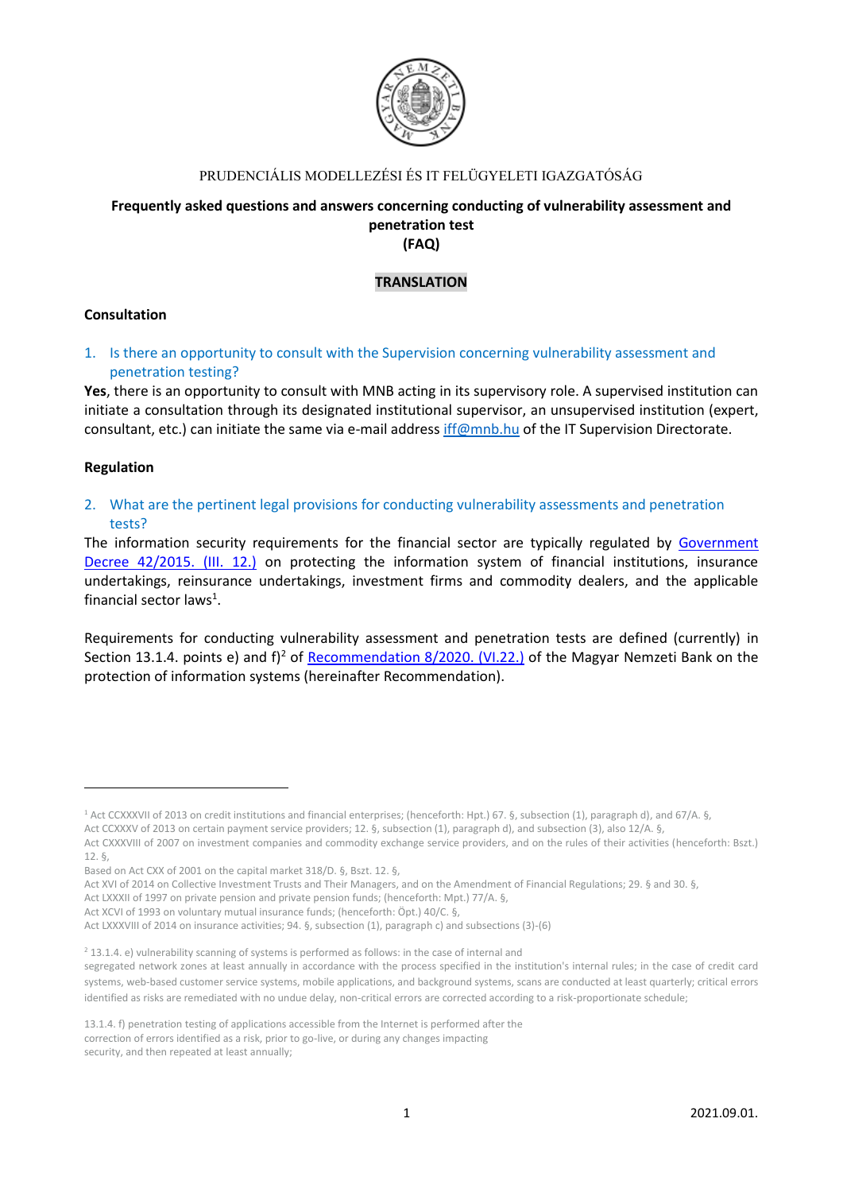

## PRUDENCIÁLIS MODELLEZÉSI ÉS IT FELÜGYELETI IGAZGATÓSÁG

## **Frequently asked questions and answers concerning conducting of vulnerability assessment and penetration test (FAQ)**

## **TRANSLATION**

#### **Consultation**

1. Is there an opportunity to consult with the Supervision concerning vulnerability assessment and penetration testing?

**Yes**, there is an opportunity to consult with MNB acting in its supervisory role. A supervised institution can initiate a consultation through its designated institutional supervisor, an unsupervised institution (expert, consultant, etc.) can initiate the same via e-mail address [iff@mnb.hu](mailto:iff@mnb.hu) of the IT Supervision Directorate.

#### **Regulation**

2. What are the pertinent legal provisions for conducting vulnerability assessments and penetration tests?

The information security requirements for the financial sector are typically regulated by [Government](https://www.mnb.hu/en/supervision/regulation/legislation)  [Decree 42/2015. \(III. 12.\)](https://www.mnb.hu/en/supervision/regulation/legislation) on protecting the information system of financial institutions, insurance undertakings, reinsurance undertakings, investment firms and commodity dealers, and the applicable financial sector laws<sup>1</sup>.

Requirements for conducting vulnerability assessment and penetration tests are defined (currently) in Section 13.1.4. points e) and f)<sup>2</sup> of [Recommendation](https://www.mnb.hu/letoltes/8-2020-on-the-protection-of-it-systems.pdf) 8/2020. (VI.22.) of the Magyar Nemzeti Bank on the protection of information systems (hereinafter Recommendation).

<sup>1</sup> Act CCXXXVII of 2013 on credit institutions and financial enterprises; (henceforth: Hpt.) 67. §, subsection (1), paragraph d), and 67/A. §, Act CCXXXV of 2013 on certain payment service providers; 12. §, subsection (1), paragraph d), and subsection (3), also 12/A. §,

Act CXXXVIII of 2007 on investment companies and commodity exchange service providers, and on the rules of their activities (henceforth: Bszt.) 12. §,

Based on Act CXX of 2001 on the capital market 318/D. §, Bszt. 12. §,

Act XVI of 2014 on Collective Investment Trusts and Their Managers, and on the Amendment of Financial Regulations; 29. § and 30. §,

Act LXXXII of 1997 on private pension and private pension funds; (henceforth: Mpt.) 77/A. §,

Act XCVI of 1993 on voluntary mutual insurance funds; (henceforth: Öpt.) 40/C. §,

Act LXXXVIII of 2014 on insurance activities; 94. §, subsection (1), paragraph c) and subsections (3)-(6)

<sup>&</sup>lt;sup>2</sup> 13.1.4. e) vulnerability scanning of systems is performed as follows: in the case of internal and

segregated network zones at least annually in accordance with the process specified in the institution's internal rules; in the case of credit card systems, web-based customer service systems, mobile applications, and background systems, scans are conducted at least quarterly; critical errors identified as risks are remediated with no undue delay, non-critical errors are corrected according to a risk-proportionate schedule;

<sup>13.1.4.</sup> f) penetration testing of applications accessible from the Internet is performed after the correction of errors identified as a risk, prior to go-live, or during any changes impacting

security, and then repeated at least annually;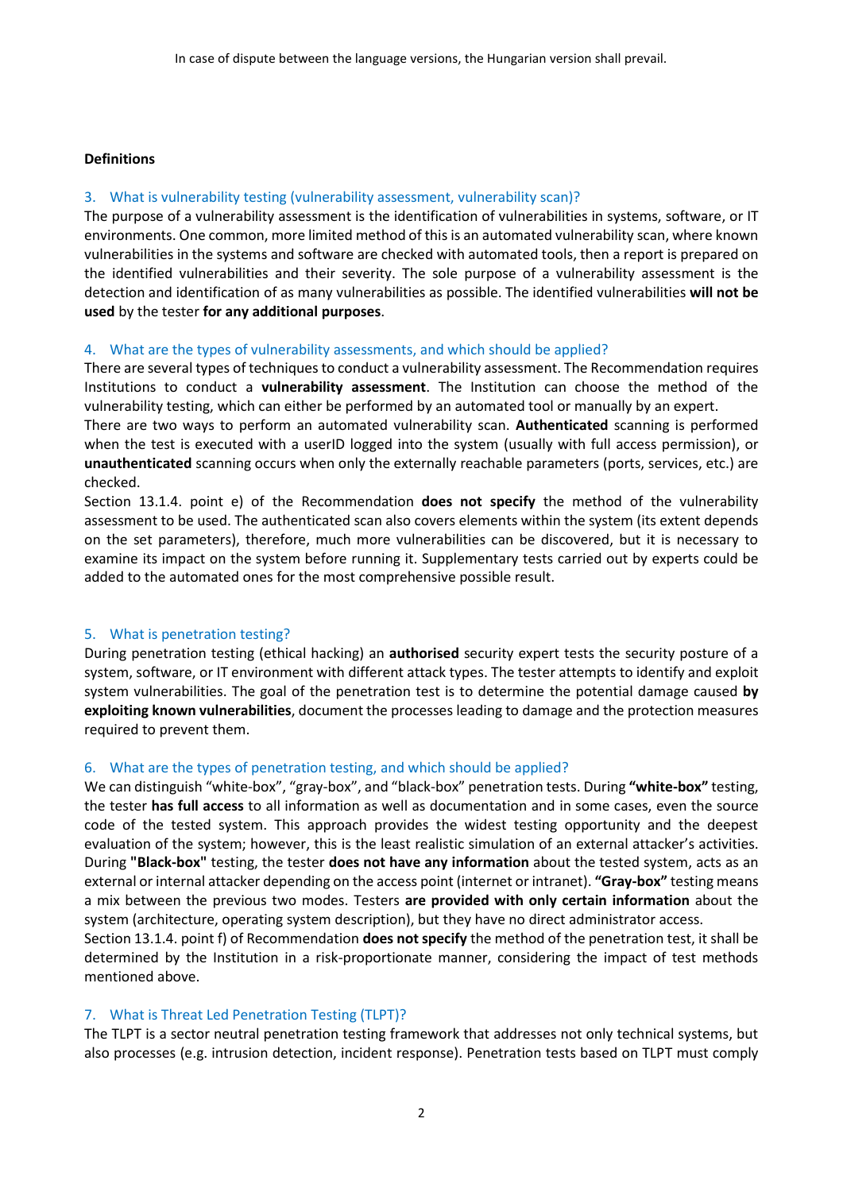#### **Definitions**

#### 3. What is vulnerability testing (vulnerability assessment, vulnerability scan)?

The purpose of a vulnerability assessment is the identification of vulnerabilities in systems, software, or IT environments. One common, more limited method of this is an automated vulnerability scan, where known vulnerabilities in the systems and software are checked with automated tools, then a report is prepared on the identified vulnerabilities and their severity. The sole purpose of a vulnerability assessment is the detection and identification of as many vulnerabilities as possible. The identified vulnerabilities **will not be used** by the tester **for any additional purposes**.

#### 4. What are the types of vulnerability assessments, and which should be applied?

There are several types of techniques to conduct a vulnerability assessment. The Recommendation requires Institutions to conduct a **vulnerability assessment**. The Institution can choose the method of the vulnerability testing, which can either be performed by an automated tool or manually by an expert.

There are two ways to perform an automated vulnerability scan. **Authenticated** scanning is performed when the test is executed with a userID logged into the system (usually with full access permission), or **unauthenticated** scanning occurs when only the externally reachable parameters (ports, services, etc.) are checked.

Section 13.1.4. point e) of the Recommendation **does not specify** the method of the vulnerability assessment to be used. The authenticated scan also covers elements within the system (its extent depends on the set parameters), therefore, much more vulnerabilities can be discovered, but it is necessary to examine its impact on the system before running it. Supplementary tests carried out by experts could be added to the automated ones for the most comprehensive possible result.

## 5. What is penetration testing?

During penetration testing (ethical hacking) an **authorised** security expert tests the security posture of a system, software, or IT environment with different attack types. The tester attempts to identify and exploit system vulnerabilities. The goal of the penetration test is to determine the potential damage caused **by exploiting known vulnerabilities**, document the processes leading to damage and the protection measures required to prevent them.

## 6. What are the types of penetration testing, and which should be applied?

We can distinguish "white-box", "gray-box", and "black-box" penetration tests. During **"white-box"** testing, the tester **has full access** to all information as well as documentation and in some cases, even the source code of the tested system. This approach provides the widest testing opportunity and the deepest evaluation of the system; however, this is the least realistic simulation of an external attacker's activities. During **"Black-box"** testing, the tester **does not have any information** about the tested system, acts as an external or internal attacker depending on the access point (internet or intranet). **"Gray-box"** testing means a mix between the previous two modes. Testers **are provided with only certain information** about the system (architecture, operating system description), but they have no direct administrator access.

Section 13.1.4. point f) of Recommendation **does not specify** the method of the penetration test, it shall be determined by the Institution in a risk-proportionate manner, considering the impact of test methods mentioned above.

## 7. What is Threat Led Penetration Testing (TLPT)?

The TLPT is a sector neutral penetration testing framework that addresses not only technical systems, but also processes (e.g. intrusion detection, incident response). Penetration tests based on TLPT must comply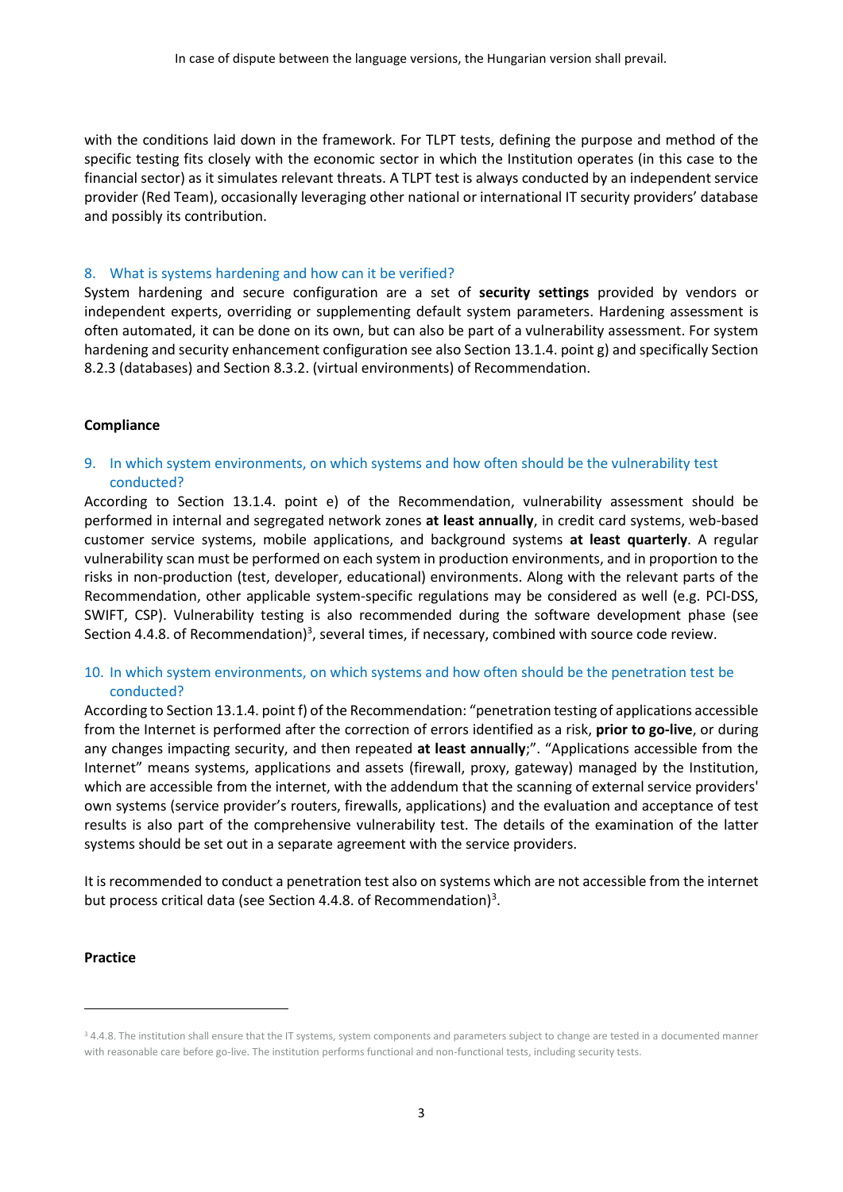with the conditions laid down in the framework. For TLPT tests, defining the purpose and method of the specific testing fits closely with the economic sector in which the Institution operates (in this case to the financial sector) as it simulates relevant threats. A TLPT test is always conducted by an independent service provider (Red Team), occasionally leveraging other national or international IT security providers' database and possibly its contribution.

#### 8. What is systems hardening and how can it be verified?

System hardening and secure configuration are a set of **security settings** provided by vendors or independent experts, overriding or supplementing default system parameters. Hardening assessment is often automated, it can be done on its own, but can also be part of a vulnerability assessment. For system hardening and security enhancement configuration see also Section 13.1.4. point g) and specifically Section 8.2.3 (databases) and Section 8.3.2. (virtual environments) of Recommendation.

#### **Compliance**

9. In which system environments, on which systems and how often should be the vulnerability test conducted?

According to Section 13.1.4. point e) of the Recommendation, vulnerability assessment should be performed in internal and segregated network zones **at least annually**, in credit card systems, web-based customer service systems, mobile applications, and background systems **at least quarterly**. A regular vulnerability scan must be performed on each system in production environments, and in proportion to the risks in non-production (test, developer, educational) environments. Along with the relevant parts of the Recommendation, other applicable system-specific regulations may be considered as well (e.g. PCI-DSS, SWIFT, CSP). Vulnerability testing is also recommended during the software development phase (see Section 4.4.8. of Recommendation)<sup>3</sup>, several times, if necessary, combined with source code review.

## 10. In which system environments, on which systems and how often should be the penetration test be conducted?

According to Section 13.1.4. point f) of the Recommendation: "penetration testing of applications accessible from the Internet is performed after the correction of errors identified as a risk, **prior to go-live**, or during any changes impacting security, and then repeated **at least annually**;". "Applications accessible from the Internet" means systems, applications and assets (firewall, proxy, gateway) managed by the Institution, which are accessible from the internet, with the addendum that the scanning of external service providers' own systems (service provider's routers, firewalls, applications) and the evaluation and acceptance of test results is also part of the comprehensive vulnerability test. The details of the examination of the latter systems should be set out in a separate agreement with the service providers.

It is recommended to conduct a penetration test also on systems which are not accessible from the internet but process critical data (see Section 4.4.8. of Recommendation)<sup>3</sup>.

#### **Practice**

<sup>&</sup>lt;sup>3</sup> 4.4.8. The institution shall ensure that the IT systems, system components and parameters subject to change are tested in a documented manner with reasonable care before go-live. The institution performs functional and non-functional tests, including security tests.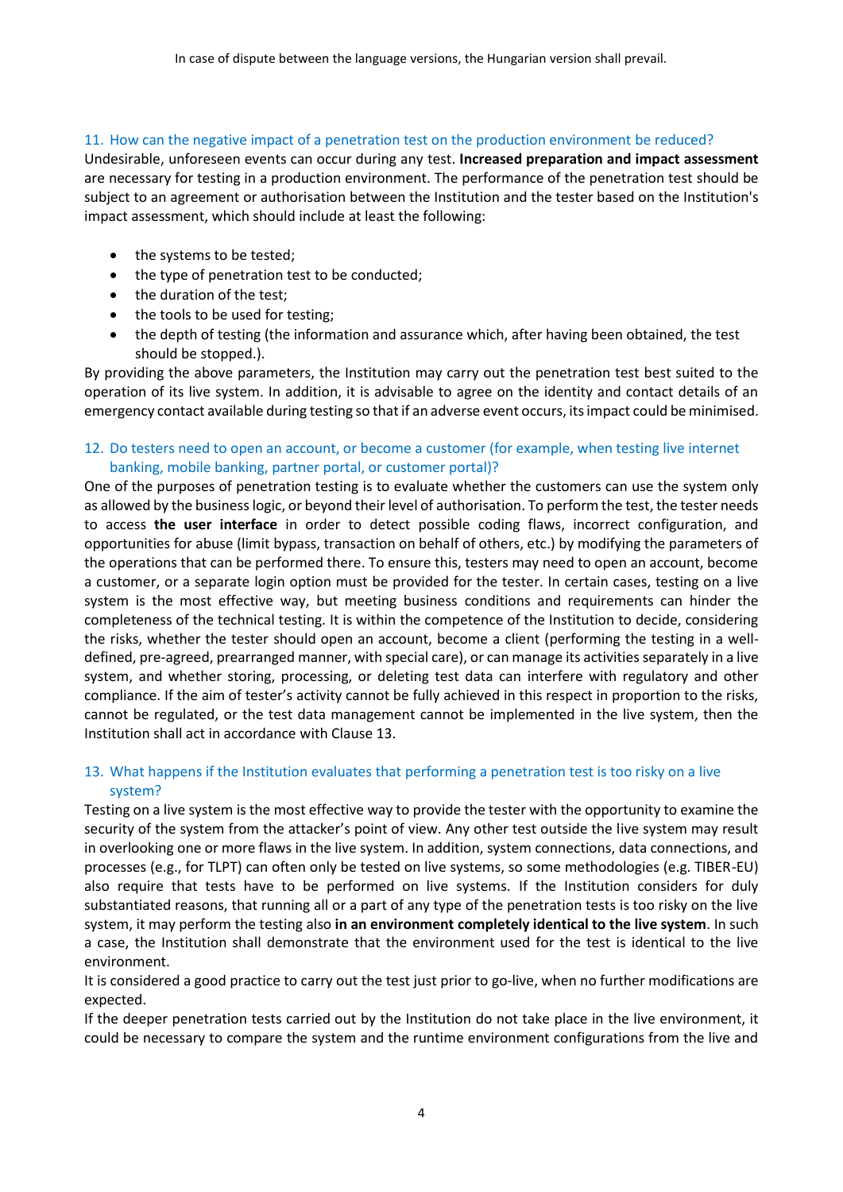## 11. How can the negative impact of a penetration test on the production environment be reduced?

Undesirable, unforeseen events can occur during any test. **Increased preparation and impact assessment** are necessary for testing in a production environment. The performance of the penetration test should be subject to an agreement or authorisation between the Institution and the tester based on the Institution's impact assessment, which should include at least the following:

- the systems to be tested;
- the type of penetration test to be conducted;
- the duration of the test:
- the tools to be used for testing;
- the depth of testing (the information and assurance which, after having been obtained, the test should be stopped.).

By providing the above parameters, the Institution may carry out the penetration test best suited to the operation of its live system. In addition, it is advisable to agree on the identity and contact details of an emergency contact available during testing so that if an adverse event occurs, its impact could be minimised.

## 12. Do testers need to open an account, or become a customer (for example, when testing live internet banking, mobile banking, partner portal, or customer portal)?

One of the purposes of penetration testing is to evaluate whether the customers can use the system only as allowed by the business logic, or beyond their level of authorisation. To perform the test, the tester needs to access **the user interface** in order to detect possible coding flaws, incorrect configuration, and opportunities for abuse (limit bypass, transaction on behalf of others, etc.) by modifying the parameters of the operations that can be performed there. To ensure this, testers may need to open an account, become a customer, or a separate login option must be provided for the tester. In certain cases, testing on a live system is the most effective way, but meeting business conditions and requirements can hinder the completeness of the technical testing. It is within the competence of the Institution to decide, considering the risks, whether the tester should open an account, become a client (performing the testing in a welldefined, pre-agreed, prearranged manner, with special care), or can manage its activities separately in a live system, and whether storing, processing, or deleting test data can interfere with regulatory and other compliance. If the aim of tester's activity cannot be fully achieved in this respect in proportion to the risks, cannot be regulated, or the test data management cannot be implemented in the live system, then the Institution shall act in accordance with Clause 13.

# 13. What happens if the Institution evaluates that performing a penetration test is too risky on a live system?

Testing on a live system is the most effective way to provide the tester with the opportunity to examine the security of the system from the attacker's point of view. Any other test outside the live system may result in overlooking one or more flaws in the live system. In addition, system connections, data connections, and processes (e.g., for TLPT) can often only be tested on live systems, so some methodologies (e.g. TIBER-EU) also require that tests have to be performed on live systems. If the Institution considers for duly substantiated reasons, that running all or a part of any type of the penetration tests is too risky on the live system, it may perform the testing also **in an environment completely identical to the live system**. In such a case, the Institution shall demonstrate that the environment used for the test is identical to the live environment.

It is considered a good practice to carry out the test just prior to go-live, when no further modifications are expected.

If the deeper penetration tests carried out by the Institution do not take place in the live environment, it could be necessary to compare the system and the runtime environment configurations from the live and